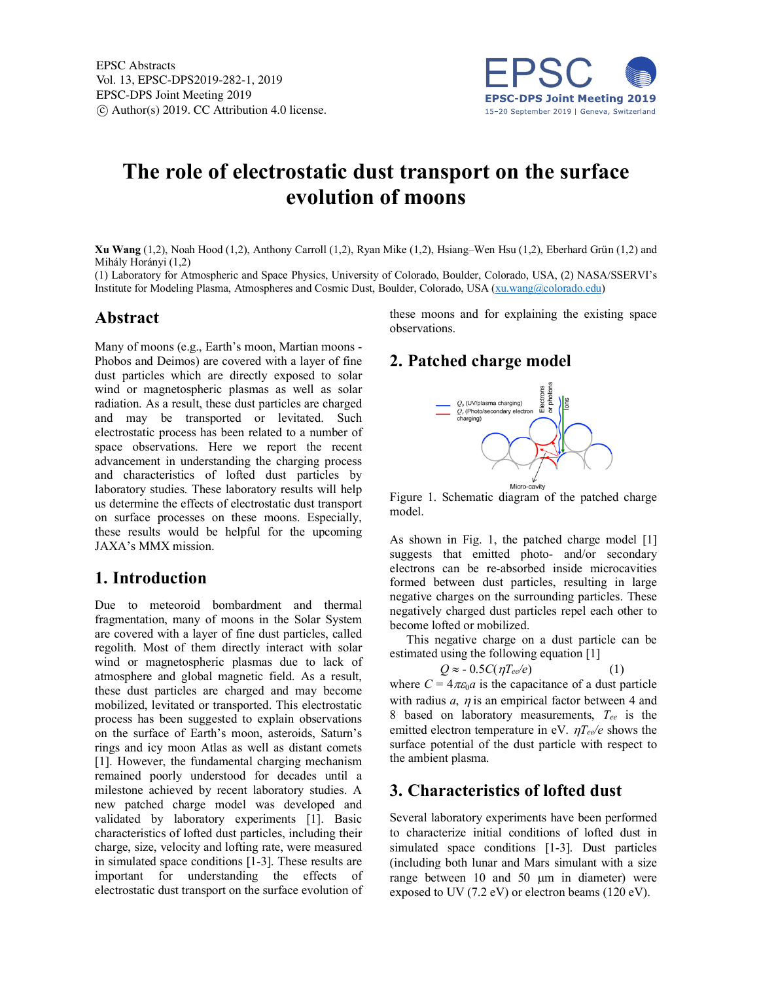

# **The role of electrostatic dust transport on the surface evolution of moons**

**Xu Wang** (1,2), Noah Hood (1,2), Anthony Carroll (1,2), Ryan Mike (1,2), Hsiang–Wen Hsu (1,2), Eberhard Grün (1,2) and Mihály Horányi (1,2)

(1) Laboratory for Atmospheric and Space Physics, University of Colorado, Boulder, Colorado, USA, (2) NASA/SSERVI's Institute for Modeling Plasma, Atmospheres and Cosmic Dust, Boulder, Colorado, USA (xu.wang@colorado.edu)

#### **Abstract**

Many of moons (e.g., Earth's moon, Martian moons - Phobos and Deimos) are covered with a layer of fine dust particles which are directly exposed to solar wind or magnetospheric plasmas as well as solar radiation. As a result, these dust particles are charged and may be transported or levitated. Such electrostatic process has been related to a number of space observations. Here we report the recent advancement in understanding the charging process and characteristics of lofted dust particles by laboratory studies. These laboratory results will help us determine the effects of electrostatic dust transport on surface processes on these moons. Especially, these results would be helpful for the upcoming JAXA's MMX mission.

# **1. Introduction**

Due to meteoroid bombardment and thermal fragmentation, many of moons in the Solar System are covered with a layer of fine dust particles, called regolith. Most of them directly interact with solar wind or magnetospheric plasmas due to lack of atmosphere and global magnetic field. As a result, these dust particles are charged and may become mobilized, levitated or transported. This electrostatic process has been suggested to explain observations on the surface of Earth's moon, asteroids, Saturn's rings and icy moon Atlas as well as distant comets [1]. However, the fundamental charging mechanism remained poorly understood for decades until a milestone achieved by recent laboratory studies. A new patched charge model was developed and validated by laboratory experiments [1]. Basic characteristics of lofted dust particles, including their charge, size, velocity and lofting rate, were measured in simulated space conditions [1-3]. These results are important for understanding the effects of electrostatic dust transport on the surface evolution of these moons and for explaining the existing space observations.

# **2. Patched charge model**



Figure 1. Schematic diagram of the patched charge model.

As shown in Fig. 1, the patched charge model [1] suggests that emitted photo- and/or secondary electrons can be re-absorbed inside microcavities formed between dust particles, resulting in large negative charges on the surrounding particles. These negatively charged dust particles repel each other to become lofted or mobilized.

This negative charge on a dust particle can be estimated using the following equation [1]

$$
Q \approx -0.5C(\eta T_{ee}/e) \tag{1}
$$

where  $C = 4\pi\varepsilon_0 a$  is the capacitance of a dust particle with radius  $a$ ,  $\eta$  is an empirical factor between 4 and 8 based on laboratory measurements, *Tee* is the emitted electron temperature in eV.  $\eta T_{ee}/e$  shows the surface potential of the dust particle with respect to the ambient plasma.

# **3. Characteristics of lofted dust**

Several laboratory experiments have been performed to characterize initial conditions of lofted dust in simulated space conditions [1-3]. Dust particles (including both lunar and Mars simulant with a size range between 10 and 50 µm in diameter) were exposed to UV (7.2 eV) or electron beams (120 eV).